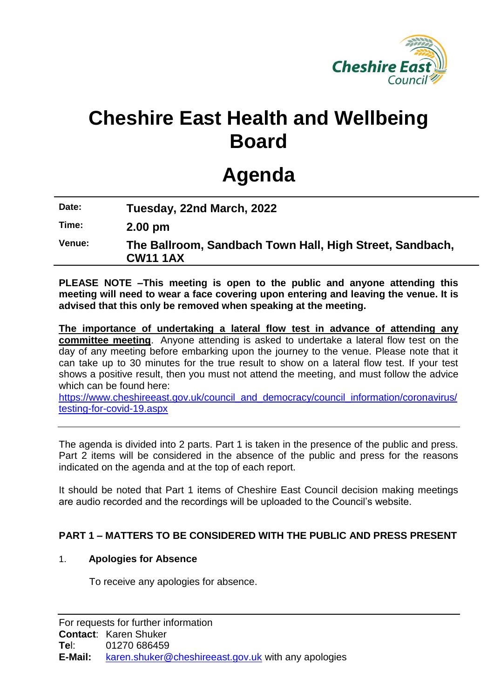

# **Cheshire East Health and Wellbeing Board**

# **Agenda**

**Date: Tuesday, 22nd March, 2022**

**Time: 2.00 pm**

**Venue: The Ballroom, Sandbach Town Hall, High Street, Sandbach, CW11 1AX**

**PLEASE NOTE –This meeting is open to the public and anyone attending this meeting will need to wear a face covering upon entering and leaving the venue. It is advised that this only be removed when speaking at the meeting.**

**The importance of undertaking a lateral flow test in advance of attending any committee meeting**. Anyone attending is asked to undertake a lateral flow test on the day of any meeting before embarking upon the journey to the venue. Please note that it can take up to 30 minutes for the true result to show on a lateral flow test. If your test shows a positive result, then you must not attend the meeting, and must follow the advice which can be found here:

[https://www.cheshireeast.gov.uk/council\\_and\\_democracy/council\\_information/coronavirus/](https://www.cheshireeast.gov.uk/council_and_democracy/council_information/coronavirus/testing-for-covid-19.aspx) [testing-for-covid-19.aspx](https://www.cheshireeast.gov.uk/council_and_democracy/council_information/coronavirus/testing-for-covid-19.aspx)

The agenda is divided into 2 parts. Part 1 is taken in the presence of the public and press. Part 2 items will be considered in the absence of the public and press for the reasons indicated on the agenda and at the top of each report.

It should be noted that Part 1 items of Cheshire East Council decision making meetings are audio recorded and the recordings will be uploaded to the Council's website.

# **PART 1 – MATTERS TO BE CONSIDERED WITH THE PUBLIC AND PRESS PRESENT**

#### 1. **Apologies for Absence**

To receive any apologies for absence.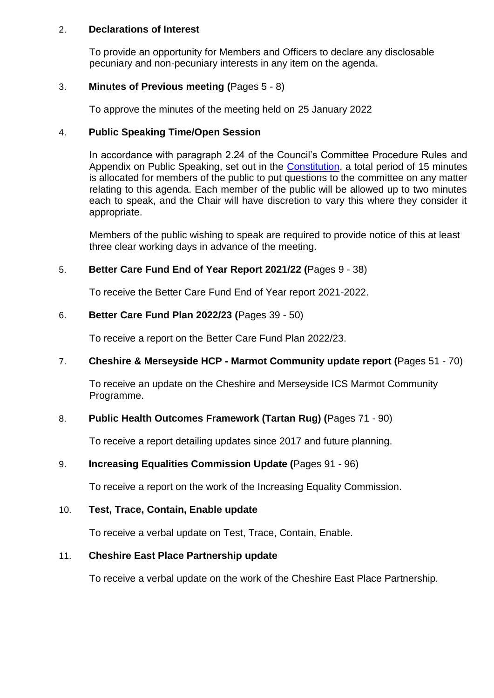#### 2. **Declarations of Interest**

To provide an opportunity for Members and Officers to declare any disclosable pecuniary and non-pecuniary interests in any item on the agenda.

## 3. **Minutes of Previous meeting (**Pages 5 - 8)

To approve the minutes of the meeting held on 25 January 2022

### 4. **Public Speaking Time/Open Session**

In accordance with paragraph 2.24 of the Council's Committee Procedure Rules and Appendix on Public Speaking, set out in the [Constitution,](https://www.cheshireeast.gov.uk/council_and_democracy/your_council/constitution.aspx) a total period of 15 minutes is allocated for members of the public to put questions to the committee on any matter relating to this agenda. Each member of the public will be allowed up to two minutes each to speak, and the Chair will have discretion to vary this where they consider it appropriate.

Members of the public wishing to speak are required to provide notice of this at least three clear working days in advance of the meeting.

## 5. **Better Care Fund End of Year Report 2021/22 (**Pages 9 - 38)

To receive the Better Care Fund End of Year report 2021-2022.

## 6. **Better Care Fund Plan 2022/23 (**Pages 39 - 50)

To receive a report on the Better Care Fund Plan 2022/23.

# 7. **Cheshire & Merseyside HCP - Marmot Community update report (**Pages 51 - 70)

To receive an update on the Cheshire and Merseyside ICS Marmot Community Programme.

# 8. **Public Health Outcomes Framework (Tartan Rug) (**Pages 71 - 90)

To receive a report detailing updates since 2017 and future planning.

# 9. **Increasing Equalities Commission Update (**Pages 91 - 96)

To receive a report on the work of the Increasing Equality Commission.

#### 10. **Test, Trace, Contain, Enable update**

To receive a verbal update on Test, Trace, Contain, Enable.

# 11. **Cheshire East Place Partnership update**

To receive a verbal update on the work of the Cheshire East Place Partnership.